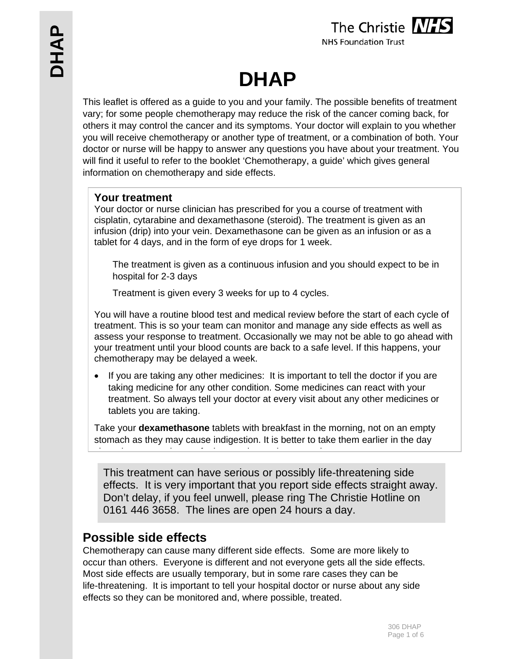

# **DHAP**

This leaflet is offered as a guide to you and your family. The possible benefits of treatment vary; for some people chemotherapy may reduce the risk of the cancer coming back, for others it may control the cancer and its symptoms. Your doctor will explain to you whether you will receive chemotherapy or another type of treatment, or a combination of both. Your doctor or nurse will be happy to answer any questions you have about your treatment. You will find it useful to refer to the booklet 'Chemotherapy, a guide' which gives general information on chemotherapy and side effects.

# **Your treatment**

Your doctor or nurse clinician has prescribed for you a course of treatment with cisplatin, cytarabine and dexamethasone (steroid). The treatment is given as an infusion (drip) into your vein. Dexamethasone can be given as an infusion or as a tablet for 4 days, and in the form of eye drops for 1 week.

 The treatment is given as a continuous infusion and you should expect to be in hospital for 2-3 days

Treatment is given every 3 weeks for up to 4 cycles.

You will have a routine blood test and medical review before the start of each cycle of treatment. This is so your team can monitor and manage any side effects as well as assess your response to treatment. Occasionally we may not be able to go ahead with your treatment until your blood counts are back to a safe level. If this happens, your chemotherapy may be delayed a week.

 If you are taking any other medicines: It is important to tell the doctor if you are taking medicine for any other condition. Some medicines can react with your treatment. So always tell your doctor at every visit about any other medicines or tablets you are taking.

Take your **dexamethasone** tablets with breakfast in the morning, not on an empty stomach as they may cause indigestion. It is better to take them earlier in the day i th k f l l t d t l

This treatment can have serious or possibly life-threatening side effects. It is very important that you report side effects straight away. Don't delay, if you feel unwell, please ring The Christie Hotline on 0161 446 3658. The lines are open 24 hours a day.

# **Possible side effects**

Chemotherapy can cause many different side effects. Some are more likely to occur than others. Everyone is different and not everyone gets all the side effects. Most side effects are usually temporary, but in some rare cases they can be life-threatening. It is important to tell your hospital doctor or nurse about any side effects so they can be monitored and, where possible, treated.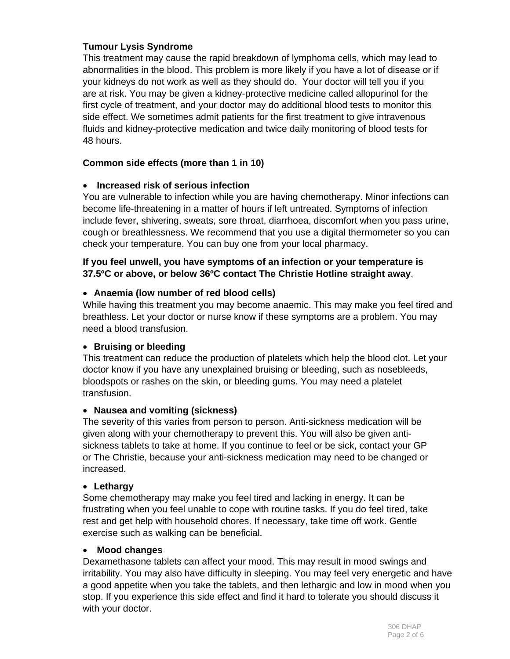# **Tumour Lysis Syndrome**

This treatment may cause the rapid breakdown of lymphoma cells, which may lead to abnormalities in the blood. This problem is more likely if you have a lot of disease or if your kidneys do not work as well as they should do. Your doctor will tell you if you are at risk. You may be given a kidney-protective medicine called allopurinol for the first cycle of treatment, and your doctor may do additional blood tests to monitor this side effect. We sometimes admit patients for the first treatment to give intravenous fluids and kidney-protective medication and twice daily monitoring of blood tests for 48 hours.

# **Common side effects (more than 1 in 10)**

# **Increased risk of serious infection**

You are vulnerable to infection while you are having chemotherapy. Minor infections can become life-threatening in a matter of hours if left untreated. Symptoms of infection include fever, shivering, sweats, sore throat, diarrhoea, discomfort when you pass urine, cough or breathlessness. We recommend that you use a digital thermometer so you can check your temperature. You can buy one from your local pharmacy.

## **If you feel unwell, you have symptoms of an infection or your temperature is 37.5ºC or above, or below 36ºC contact The Christie Hotline straight away**.

# **Anaemia (low number of red blood cells)**

While having this treatment you may become anaemic. This may make you feel tired and breathless. Let your doctor or nurse know if these symptoms are a problem. You may need a blood transfusion.

# **Bruising or bleeding**

This treatment can reduce the production of platelets which help the blood clot. Let your doctor know if you have any unexplained bruising or bleeding, such as nosebleeds, bloodspots or rashes on the skin, or bleeding gums. You may need a platelet transfusion.

# **Nausea and vomiting (sickness)**

The severity of this varies from person to person. Anti-sickness medication will be given along with your chemotherapy to prevent this. You will also be given antisickness tablets to take at home. If you continue to feel or be sick, contact your GP or The Christie, because your anti-sickness medication may need to be changed or increased.

#### **Lethargy**

Some chemotherapy may make you feel tired and lacking in energy. It can be frustrating when you feel unable to cope with routine tasks. If you do feel tired, take rest and get help with household chores. If necessary, take time off work. Gentle exercise such as walking can be beneficial.

#### **Mood changes**

Dexamethasone tablets can affect your mood. This may result in mood swings and irritability. You may also have difficulty in sleeping. You may feel very energetic and have a good appetite when you take the tablets, and then lethargic and low in mood when you stop. If you experience this side effect and find it hard to tolerate you should discuss it with your doctor.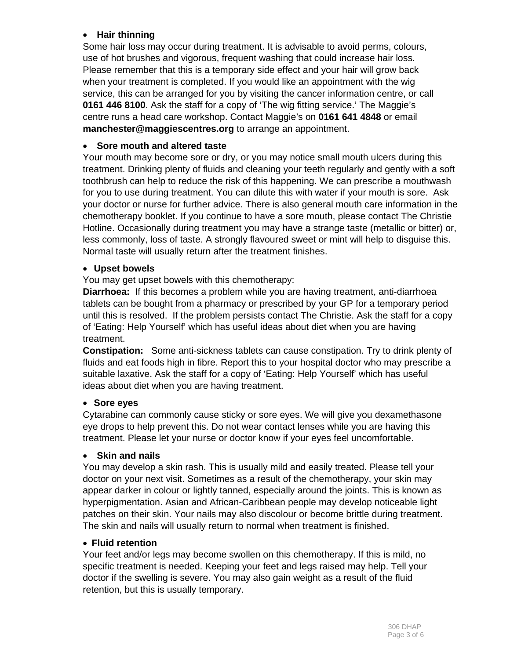# **Hair thinning**

Some hair loss may occur during treatment. It is advisable to avoid perms, colours, use of hot brushes and vigorous, frequent washing that could increase hair loss. Please remember that this is a temporary side effect and your hair will grow back when your treatment is completed. If you would like an appointment with the wig service, this can be arranged for you by visiting the cancer information centre, or call **0161 446 8100**. Ask the staff for a copy of 'The wig fitting service.' The Maggie's centre runs a head care workshop. Contact Maggie's on **0161 641 4848** or email **manchester@maggiescentres.org** to arrange an appointment.

## **Sore mouth and altered taste**

Your mouth may become sore or dry, or you may notice small mouth ulcers during this treatment. Drinking plenty of fluids and cleaning your teeth regularly and gently with a soft toothbrush can help to reduce the risk of this happening. We can prescribe a mouthwash for you to use during treatment. You can dilute this with water if your mouth is sore. Ask your doctor or nurse for further advice. There is also general mouth care information in the chemotherapy booklet. If you continue to have a sore mouth, please contact The Christie Hotline. Occasionally during treatment you may have a strange taste (metallic or bitter) or, less commonly, loss of taste. A strongly flavoured sweet or mint will help to disguise this. Normal taste will usually return after the treatment finishes.

#### **Upset bowels**

You may get upset bowels with this chemotherapy:

**Diarrhoea:** If this becomes a problem while you are having treatment, anti-diarrhoea tablets can be bought from a pharmacy or prescribed by your GP for a temporary period until this is resolved. If the problem persists contact The Christie. Ask the staff for a copy of 'Eating: Help Yourself' which has useful ideas about diet when you are having treatment.

**Constipation:** Some anti-sickness tablets can cause constipation. Try to drink plenty of fluids and eat foods high in fibre. Report this to your hospital doctor who may prescribe a suitable laxative. Ask the staff for a copy of 'Eating: Help Yourself' which has useful ideas about diet when you are having treatment.

#### **Sore eyes**

Cytarabine can commonly cause sticky or sore eyes. We will give you dexamethasone eye drops to help prevent this. Do not wear contact lenses while you are having this treatment. Please let your nurse or doctor know if your eyes feel uncomfortable.

#### **Skin and nails**

You may develop a skin rash. This is usually mild and easily treated. Please tell your doctor on your next visit. Sometimes as a result of the chemotherapy, your skin may appear darker in colour or lightly tanned, especially around the joints. This is known as hyperpigmentation. Asian and African-Caribbean people may develop noticeable light patches on their skin. Your nails may also discolour or become brittle during treatment. The skin and nails will usually return to normal when treatment is finished.

#### **Fluid retention**

Your feet and/or legs may become swollen on this chemotherapy. If this is mild, no specific treatment is needed. Keeping your feet and legs raised may help. Tell your doctor if the swelling is severe. You may also gain weight as a result of the fluid retention, but this is usually temporary.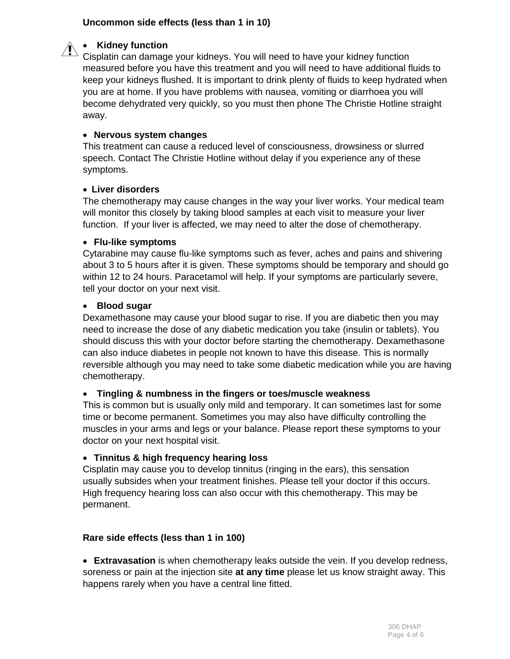# **Uncommon side effects (less than 1 in 10)**



#### **Kidney function**

Cisplatin can damage your kidneys. You will need to have your kidney function measured before you have this treatment and you will need to have additional fluids to keep your kidneys flushed. It is important to drink plenty of fluids to keep hydrated when you are at home. If you have problems with nausea, vomiting or diarrhoea you will become dehydrated very quickly, so you must then phone The Christie Hotline straight away.

#### **Nervous system changes**

This treatment can cause a reduced level of consciousness, drowsiness or slurred speech. Contact The Christie Hotline without delay if you experience any of these symptoms.

#### **Liver disorders**

The chemotherapy may cause changes in the way your liver works. Your medical team will monitor this closely by taking blood samples at each visit to measure your liver function. If your liver is affected, we may need to alter the dose of chemotherapy.

#### **Flu-like symptoms**

Cytarabine may cause flu-like symptoms such as fever, aches and pains and shivering about 3 to 5 hours after it is given. These symptoms should be temporary and should go within 12 to 24 hours. Paracetamol will help. If your symptoms are particularly severe, tell your doctor on your next visit.

#### **Blood sugar**

Dexamethasone may cause your blood sugar to rise. If you are diabetic then you may need to increase the dose of any diabetic medication you take (insulin or tablets). You should discuss this with your doctor before starting the chemotherapy. Dexamethasone can also induce diabetes in people not known to have this disease. This is normally reversible although you may need to take some diabetic medication while you are having chemotherapy.

# **Tingling & numbness in the fingers or toes/muscle weakness**

This is common but is usually only mild and temporary. It can sometimes last for some time or become permanent. Sometimes you may also have difficulty controlling the muscles in your arms and legs or your balance. Please report these symptoms to your doctor on your next hospital visit.

# **Tinnitus & high frequency hearing loss**

Cisplatin may cause you to develop tinnitus (ringing in the ears), this sensation usually subsides when your treatment finishes. Please tell your doctor if this occurs. High frequency hearing loss can also occur with this chemotherapy. This may be permanent.

# **Rare side effects (less than 1 in 100)**

 **Extravasation** is when chemotherapy leaks outside the vein. If you develop redness, soreness or pain at the injection site **at any time** please let us know straight away. This happens rarely when you have a central line fitted.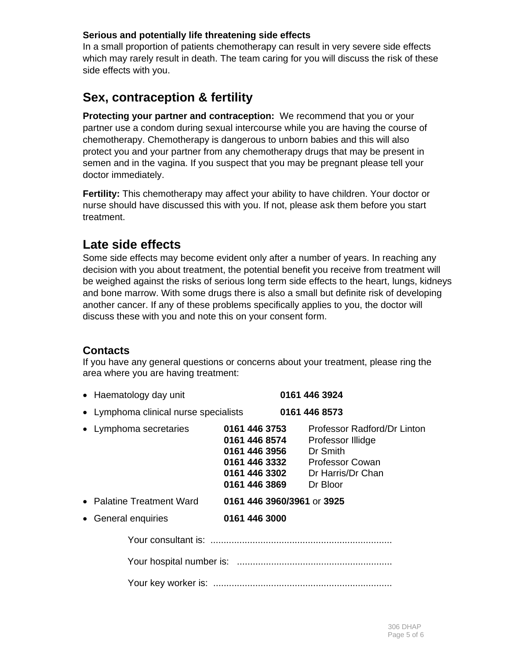# **Serious and potentially life threatening side effects**

In a small proportion of patients chemotherapy can result in very severe side effects which may rarely result in death. The team caring for you will discuss the risk of these side effects with you.

# **Sex, contraception & fertility**

**Protecting your partner and contraception:** We recommend that you or your partner use a condom during sexual intercourse while you are having the course of chemotherapy. Chemotherapy is dangerous to unborn babies and this will also protect you and your partner from any chemotherapy drugs that may be present in semen and in the vagina. If you suspect that you may be pregnant please tell your doctor immediately.

**Fertility:** This chemotherapy may affect your ability to have children. Your doctor or nurse should have discussed this with you. If not, please ask them before you start treatment.

# **Late side effects**

Some side effects may become evident only after a number of years. In reaching any decision with you about treatment, the potential benefit you receive from treatment will be weighed against the risks of serious long term side effects to the heart, lungs, kidneys and bone marrow. With some drugs there is also a small but definite risk of developing another cancer. If any of these problems specifically applies to you, the doctor will discuss these with you and note this on your consent form.

# **Contacts**

If you have any general questions or concerns about your treatment, please ring the area where you are having treatment:

| • Haematology day unit                |                                                                  | 0161 446 3924                                                                                                                                |
|---------------------------------------|------------------------------------------------------------------|----------------------------------------------------------------------------------------------------------------------------------------------|
| • Lymphoma clinical nurse specialists |                                                                  | 0161 446 8573                                                                                                                                |
| • Lymphoma secretaries                | 0161 446 3753<br>0161 446 8574<br>0161 446 3956<br>0161 446 3869 | Professor Radford/Dr Linton<br>Professor Illidge<br>Dr Smith<br>0161 446 3332 Professor Cowan<br>0161 446 3302 Dr Harris/Dr Chan<br>Dr Bloor |
| • Palatine Treatment Ward             | 0161 446 3960/3961 or 3925                                       |                                                                                                                                              |
| • General enquiries                   | 0161 446 3000                                                    |                                                                                                                                              |
|                                       |                                                                  |                                                                                                                                              |
|                                       |                                                                  |                                                                                                                                              |